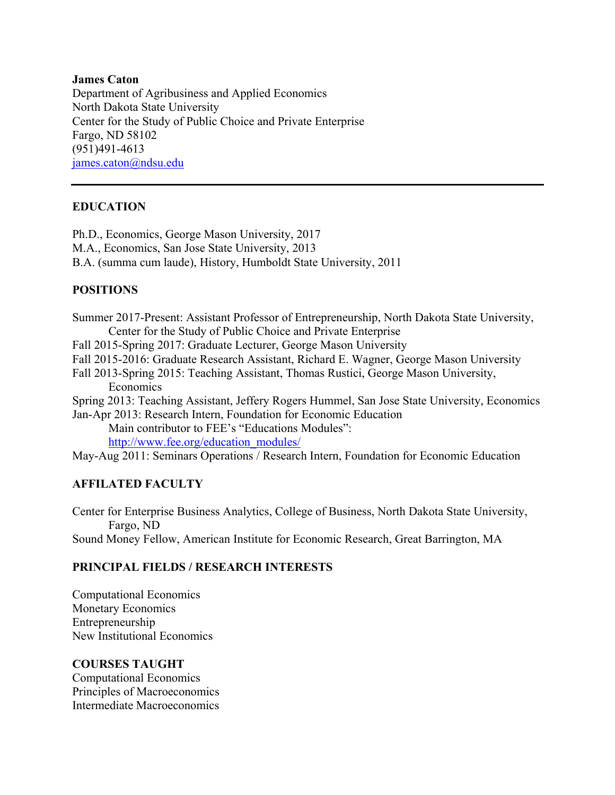### **James Caton**

Department of Agribusiness and Applied Economics North Dakota State University Center for the Study of Public Choice and Private Enterprise Fargo, ND 58102 (951)491-4613 [james.caton@ndsu.edu](mailto:james.caton@ndsu.edu)

## **EDUCATION**

Ph.D., Economics, George Mason University, 2017 M.A., Economics, San Jose State University, 2013 B.A. (summa cum laude), History, Humboldt State University, 2011

## **POSITIONS**

Summer 2017-Present: Assistant Professor of Entrepreneurship, North Dakota State University, Center for the Study of Public Choice and Private Enterprise

Fall 2015-Spring 2017: Graduate Lecturer, George Mason University

Fall 2015-2016: Graduate Research Assistant, Richard E. Wagner, George Mason University

Fall 2013-Spring 2015: Teaching Assistant, Thomas Rustici, George Mason University, Economics

Spring 2013: Teaching Assistant, Jeffery Rogers Hummel, San Jose State University, Economics Jan-Apr 2013: Research Intern, Foundation for Economic Education

Main contributor to FEE's "Educations Modules": [http://www.fee.org/education\\_modules/](http://www.fee.org/education_modules/)

May-Aug 2011: Seminars Operations / Research Intern, Foundation for Economic Education

## **AFFILATED FACULTY**

Center for Enterprise Business Analytics, College of Business, North Dakota State University, Fargo, ND Sound Money Fellow, American Institute for Economic Research, Great Barrington, MA

## **PRINCIPAL FIELDS / RESEARCH INTERESTS**

Computational Economics Monetary Economics Entrepreneurship New Institutional Economics

## **COURSES TAUGHT**

Computational Economics Principles of Macroeconomics Intermediate Macroeconomics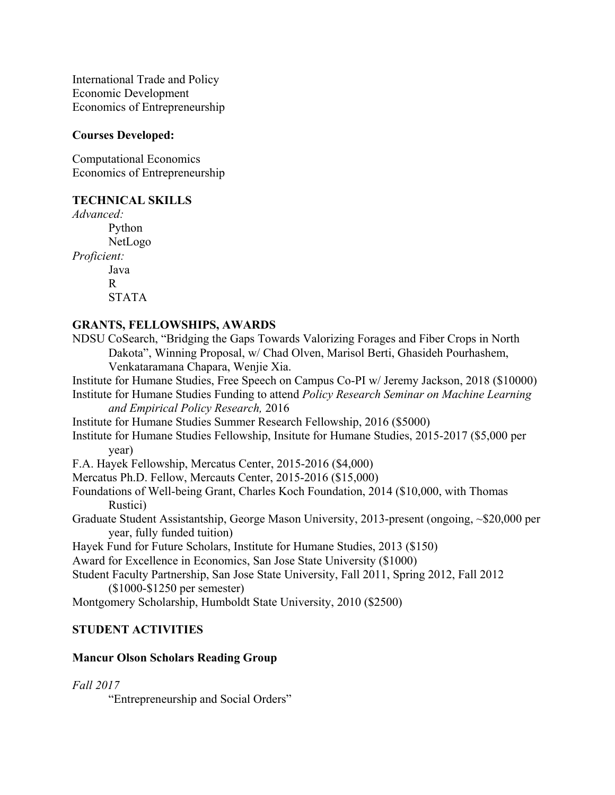International Trade and Policy Economic Development Economics of Entrepreneurship

## **Courses Developed:**

Computational Economics Economics of Entrepreneurship

## **TECHNICAL SKILLS**

*Advanced:* Python NetLogo *Proficient:* Java R STATA

## **GRANTS, FELLOWSHIPS, AWARDS**

- NDSU CoSearch, "Bridging the Gaps Towards Valorizing Forages and Fiber Crops in North Dakota", Winning Proposal, w/ Chad Olven, Marisol Berti, Ghasideh Pourhashem, Venkataramana Chapara, Wenjie Xia.
- Institute for Humane Studies, Free Speech on Campus Co-PI w/ Jeremy Jackson, 2018 (\$10000)
- Institute for Humane Studies Funding to attend *Policy Research Seminar on Machine Learning and Empirical Policy Research,* 2016
- Institute for Humane Studies Summer Research Fellowship, 2016 (\$5000)
- Institute for Humane Studies Fellowship, Insitute for Humane Studies, 2015-2017 (\$5,000 per year)
- F.A. Hayek Fellowship, Mercatus Center, 2015-2016 (\$4,000)
- Mercatus Ph.D. Fellow, Mercauts Center, 2015-2016 (\$15,000)
- Foundations of Well-being Grant, Charles Koch Foundation, 2014 (\$10,000, with Thomas Rustici)
- Graduate Student Assistantship, George Mason University, 2013-present (ongoing, ~\$20,000 per year, fully funded tuition)
- Hayek Fund for Future Scholars, Institute for Humane Studies, 2013 (\$150)
- Award for Excellence in Economics, San Jose State University (\$1000)
- Student Faculty Partnership, San Jose State University, Fall 2011, Spring 2012, Fall 2012 (\$1000-\$1250 per semester)
- Montgomery Scholarship, Humboldt State University, 2010 (\$2500)

# **STUDENT ACTIVITIES**

## **Mancur Olson Scholars Reading Group**

## *Fall 2017*

"Entrepreneurship and Social Orders"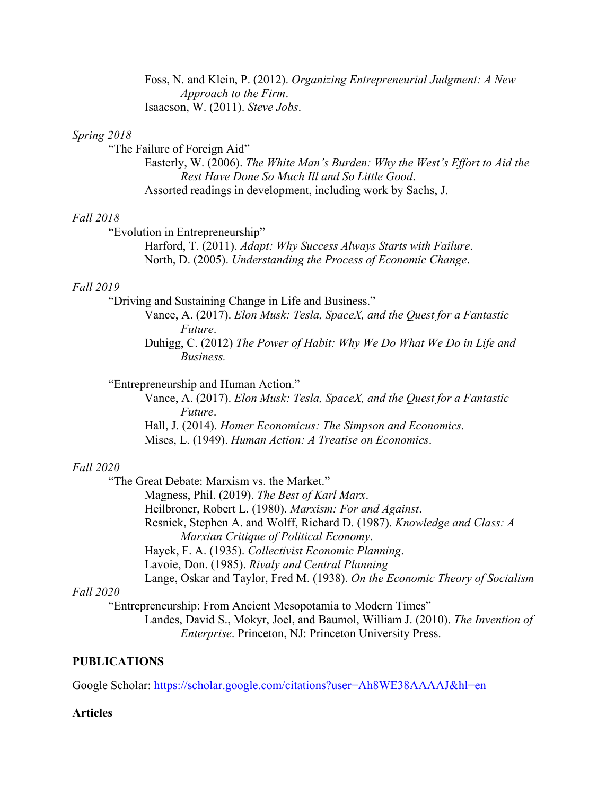Foss, N. and Klein, P. (2012). *Organizing Entrepreneurial Judgment: A New Approach to the Firm*. Isaacson, W. (2011). *Steve Jobs*.

## *Spring 2018*

"The Failure of Foreign Aid"

Easterly, W. (2006). *The White Man's Burden: Why the West's Effort to Aid the Rest Have Done So Much Ill and So Little Good*. Assorted readings in development, including work by Sachs, J.

#### *Fall 2018*

"Evolution in Entrepreneurship"

Harford, T. (2011). *Adapt: Why Success Always Starts with Failure*. North, D. (2005). *Understanding the Process of Economic Change*.

#### *Fall 2019*

"Driving and Sustaining Change in Life and Business."

Vance, A. (2017). *Elon Musk: Tesla, SpaceX, and the Quest for a Fantastic Future*.

Duhigg, C. (2012) *The Power of Habit: Why We Do What We Do in Life and Business.*

#### "Entrepreneurship and Human Action."

Vance, A. (2017). *Elon Musk: Tesla, SpaceX, and the Quest for a Fantastic Future*. Hall, J. (2014). *Homer Economicus: The Simpson and Economics.*

Mises, L. (1949). *Human Action: A Treatise on Economics*.

### *Fall 2020*

"The Great Debate: Marxism vs. the Market."

Magness, Phil. (2019). *The Best of Karl Marx*.

Heilbroner, Robert L. (1980). *Marxism: For and Against*.

Resnick, Stephen A. and Wolff, Richard D. (1987). *Knowledge and Class: A Marxian Critique of Political Economy*.

Hayek, F. A. (1935). *Collectivist Economic Planning*.

Lavoie, Don. (1985). *Rivaly and Central Planning*

Lange, Oskar and Taylor, Fred M. (1938). *On the Economic Theory of Socialism*

### *Fall 2020*

"Entrepreneurship: From Ancient Mesopotamia to Modern Times" Landes, David S., Mokyr, Joel, and Baumol, William J. (2010). *The Invention of Enterprise*. Princeton, NJ: Princeton University Press.

#### **PUBLICATIONS**

Google Scholar:<https://scholar.google.com/citations?user=Ah8WE38AAAAJ&hl=en>

#### **Articles**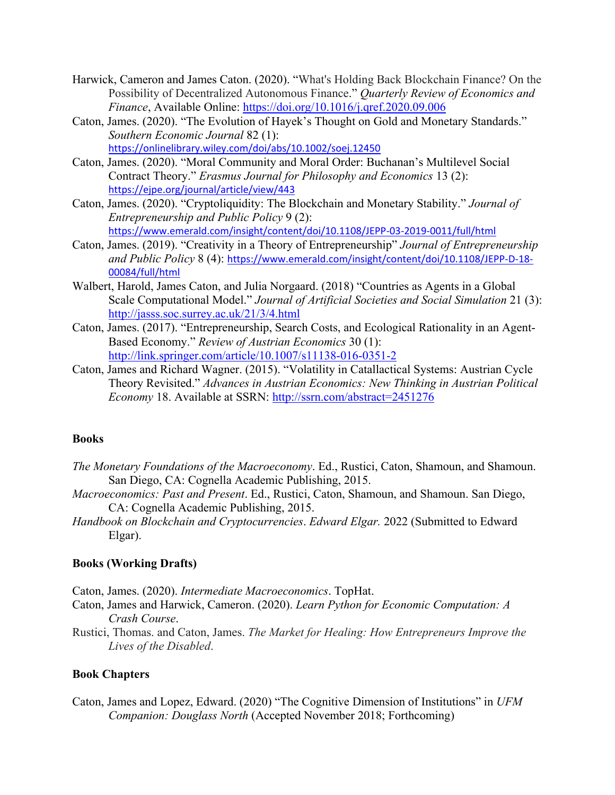- Harwick, Cameron and James Caton. (2020). "What's Holding Back Blockchain Finance? On the Possibility of Decentralized Autonomous Finance." *Quarterly Review of Economics and Finance*, Available Online: <https://doi.org/10.1016/j.qref.2020.09.006>
- Caton, James. (2020). "The Evolution of Hayek's Thought on Gold and Monetary Standards." *Southern Economic Journal* 82 (1): <https://onlinelibrary.wiley.com/doi/abs/10.1002/soej.12450>
- Caton, James. (2020). "Moral Community and Moral Order: Buchanan's Multilevel Social Contract Theory." *Erasmus Journal for Philosophy and Economics* 13 (2): <https://ejpe.org/journal/article/view/443>
- Caton, James. (2020). "Cryptoliquidity: The Blockchain and Monetary Stability." *Journal of Entrepreneurship and Public Policy* 9 (2): <https://www.emerald.com/insight/content/doi/10.1108/JEPP-03-2019-0011/full/html>
- Caton, James. (2019). "Creativity in a Theory of Entrepreneurship" *Journal of Entrepreneurship and Public Policy* 8 (4): [https://www.emerald.com/insight/content/doi/10.1108/JEPP-D-18-](https://www.emerald.com/insight/content/doi/10.1108/JEPP-D-18-00084/full/html) [00084/full/html](https://www.emerald.com/insight/content/doi/10.1108/JEPP-D-18-00084/full/html)
- Walbert, Harold, James Caton, and Julia Norgaard. (2018) "Countries as Agents in a Global Scale Computational Model." *Journal of Artificial Societies and Social Simulation* 21 (3): <http://jasss.soc.surrey.ac.uk/21/3/4.html>
- Caton, James. (2017). "Entrepreneurship, Search Costs, and Ecological Rationality in an Agent-Based Economy." *Review of Austrian Economics* 30 (1): <http://link.springer.com/article/10.1007/s11138-016-0351-2>
- Caton, James and Richard Wagner. (2015). "Volatility in Catallactical Systems: Austrian Cycle Theory Revisited." *Advances in Austrian Economics: New Thinking in Austrian Political Economy* 18. Available at SSRN:<http://ssrn.com/abstract=2451276>

## **Books**

- *The Monetary Foundations of the Macroeconomy*. Ed., Rustici, Caton, Shamoun, and Shamoun. San Diego, CA: Cognella Academic Publishing, 2015.
- *Macroeconomics: Past and Present*. Ed., Rustici, Caton, Shamoun, and Shamoun. San Diego, CA: Cognella Academic Publishing, 2015.
- *Handbook on Blockchain and Cryptocurrencies*. *Edward Elgar.* 2022 (Submitted to Edward Elgar).

## **Books (Working Drafts)**

Caton, James. (2020). *Intermediate Macroeconomics*. TopHat.

- Caton, James and Harwick, Cameron. (2020). *Learn Python for Economic Computation: A Crash Course*.
- Rustici, Thomas. and Caton, James. *The Market for Healing: How Entrepreneurs Improve the Lives of the Disabled*.

## **Book Chapters**

Caton, James and Lopez, Edward. (2020) "The Cognitive Dimension of Institutions" in *UFM Companion: Douglass North* (Accepted November 2018; Forthcoming)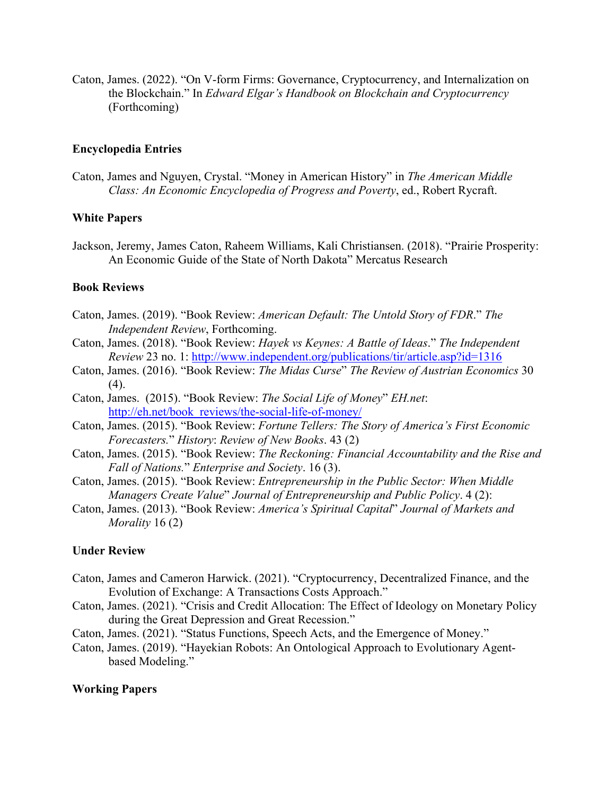Caton, James. (2022). "On V-form Firms: Governance, Cryptocurrency, and Internalization on the Blockchain." In *Edward Elgar's Handbook on Blockchain and Cryptocurrency* (Forthcoming)

#### **Encyclopedia Entries**

Caton, James and Nguyen, Crystal. "Money in American History" in *The American Middle Class: An Economic Encyclopedia of Progress and Poverty*, ed., Robert Rycraft.

#### **White Papers**

Jackson, Jeremy, James Caton, Raheem Williams, Kali Christiansen. (2018). "Prairie Prosperity: An Economic Guide of the State of North Dakota" Mercatus Research

### **Book Reviews**

- Caton, James. (2019). "Book Review: *American Default: The Untold Story of FDR*." *The Independent Review*, Forthcoming.
- Caton, James. (2018). "Book Review: *Hayek vs Keynes: A Battle of Ideas*." *The Independent Review* 23 no. 1:<http://www.independent.org/publications/tir/article.asp?id=1316>
- Caton, James. (2016). "Book Review: *The Midas Curse*" *The Review of Austrian Economics* 30  $(4)$ .
- Caton, James. (2015). "Book Review: *The Social Life of Money*" *EH.net*: [http://eh.net/book\\_reviews/the-social-life-of-money/](http://eh.net/book_reviews/the-social-life-of-money/)
- Caton, James. (2015). "Book Review: *Fortune Tellers: The Story of America's First Economic Forecasters.*" *History*: *Review of New Books*. 43 (2)
- Caton, James. (2015). "Book Review: *The Reckoning: Financial Accountability and the Rise and Fall of Nations.*" *Enterprise and Society*. 16 (3).
- Caton, James. (2015). "Book Review: *Entrepreneurship in the Public Sector: When Middle Managers Create Value*" *Journal of Entrepreneurship and Public Policy*. 4 (2):
- Caton, James. (2013). "Book Review: *America's Spiritual Capital*" *Journal of Markets and Morality* 16 (2)

### **Under Review**

- Caton, James and Cameron Harwick. (2021). "Cryptocurrency, Decentralized Finance, and the Evolution of Exchange: A Transactions Costs Approach."
- Caton, James. (2021). "Crisis and Credit Allocation: The Effect of Ideology on Monetary Policy during the Great Depression and Great Recession."
- Caton, James. (2021). "Status Functions, Speech Acts, and the Emergence of Money."
- Caton, James. (2019). "Hayekian Robots: An Ontological Approach to Evolutionary Agentbased Modeling."

#### **Working Papers**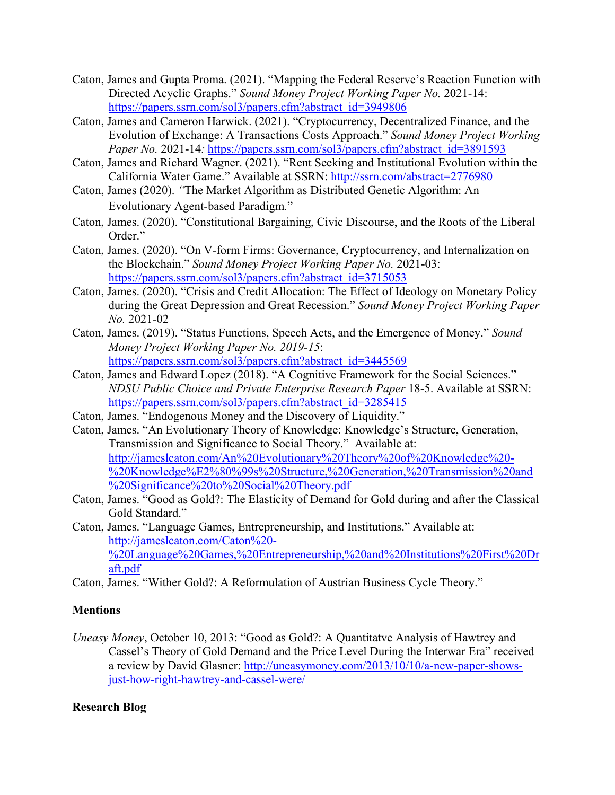- Caton, James and Gupta Proma. (2021). "Mapping the Federal Reserve's Reaction Function with Directed Acyclic Graphs." *Sound Money Project Working Paper No.* 2021-14: [https://papers.ssrn.com/sol3/papers.cfm?abstract\\_id=3949806](https://papers.ssrn.com/sol3/papers.cfm?abstract_id=3949806)
- Caton, James and Cameron Harwick. (2021). "Cryptocurrency, Decentralized Finance, and the Evolution of Exchange: A Transactions Costs Approach." *Sound Money Project Working Paper No.* 2021-14*:* [https://papers.ssrn.com/sol3/papers.cfm?abstract\\_id=3891593](https://papers.ssrn.com/sol3/papers.cfm?abstract_id=3891593)
- Caton, James and Richard Wagner. (2021). "Rent Seeking and Institutional Evolution within the California Water Game." Available at SSRN:<http://ssrn.com/abstract=2776980>
- Caton, James (2020). *"*The Market Algorithm as Distributed Genetic Algorithm: An Evolutionary Agent-based Paradigm*.*"
- Caton, James. (2020). "Constitutional Bargaining, Civic Discourse, and the Roots of the Liberal Order."
- Caton, James. (2020). "On V-form Firms: Governance, Cryptocurrency, and Internalization on the Blockchain." *Sound Money Project Working Paper No.* 2021-03: [https://papers.ssrn.com/sol3/papers.cfm?abstract\\_id=3715053](https://papers.ssrn.com/sol3/papers.cfm?abstract_id=3715053)
- Caton, James. (2020). "Crisis and Credit Allocation: The Effect of Ideology on Monetary Policy during the Great Depression and Great Recession." *Sound Money Project Working Paper No.* 2021-02
- Caton, James. (2019). "Status Functions, Speech Acts, and the Emergence of Money." *Sound Money Project Working Paper No. 2019-15*: [https://papers.ssrn.com/sol3/papers.cfm?abstract\\_id=3445569](https://papers.ssrn.com/sol3/papers.cfm?abstract_id=3445569)
- Caton, James and Edward Lopez (2018). "A Cognitive Framework for the Social Sciences." *NDSU Public Choice and Private Enterprise Research Paper* 18-5. Available at SSRN: [https://papers.ssrn.com/sol3/papers.cfm?abstract\\_id=3285415](https://papers.ssrn.com/sol3/papers.cfm?abstract_id=3285415)
- Caton, James. "Endogenous Money and the Discovery of Liquidity."
- Caton, James. "An Evolutionary Theory of Knowledge: Knowledge's Structure, Generation, Transmission and Significance to Social Theory." Available at: [http://jameslcaton.com/An%20Evolutionary%20Theory%20of%20Knowledge%20-](http://jameslcaton.com/An%20Evolutionary%20Theory%20of%20Knowledge%20-%20Knowledge%E2%80%99s%20Structure,%20Generation,%20Transmission%20and%20Significance%20to%20Social%20Theory.pdf) [%20Knowledge%E2%80%99s%20Structure,%20Generation,%20Transmission%20and](http://jameslcaton.com/An%20Evolutionary%20Theory%20of%20Knowledge%20-%20Knowledge%E2%80%99s%20Structure,%20Generation,%20Transmission%20and%20Significance%20to%20Social%20Theory.pdf) [%20Significance%20to%20Social%20Theory.pdf](http://jameslcaton.com/An%20Evolutionary%20Theory%20of%20Knowledge%20-%20Knowledge%E2%80%99s%20Structure,%20Generation,%20Transmission%20and%20Significance%20to%20Social%20Theory.pdf)
- Caton, James. "Good as Gold?: The Elasticity of Demand for Gold during and after the Classical Gold Standard."
- Caton, James. "Language Games, Entrepreneurship, and Institutions." Available at: [http://jameslcaton.com/Caton%20-](http://jameslcaton.com/Caton%20-%20Language%20Games,%20Entrepreneurship,%20and%20Institutions%20First%20Draft.pdf) [%20Language%20Games,%20Entrepreneurship,%20and%20Institutions%20First%20Dr](http://jameslcaton.com/Caton%20-%20Language%20Games,%20Entrepreneurship,%20and%20Institutions%20First%20Draft.pdf) [aft.pdf](http://jameslcaton.com/Caton%20-%20Language%20Games,%20Entrepreneurship,%20and%20Institutions%20First%20Draft.pdf)

Caton, James. "Wither Gold?: A Reformulation of Austrian Business Cycle Theory."

## **Mentions**

*Uneasy Money*, October 10, 2013: "Good as Gold?: A Quantitatve Analysis of Hawtrey and Cassel's Theory of Gold Demand and the Price Level During the Interwar Era" received a review by David Glasner: [http://uneasymoney.com/2013/10/10/a-new-paper-shows](http://uneasymoney.com/2013/10/10/a-new-paper-shows-just-how-right-hawtrey-and-cassel-were/)[just-how-right-hawtrey-and-cassel-were/](http://uneasymoney.com/2013/10/10/a-new-paper-shows-just-how-right-hawtrey-and-cassel-were/)

# **Research Blog**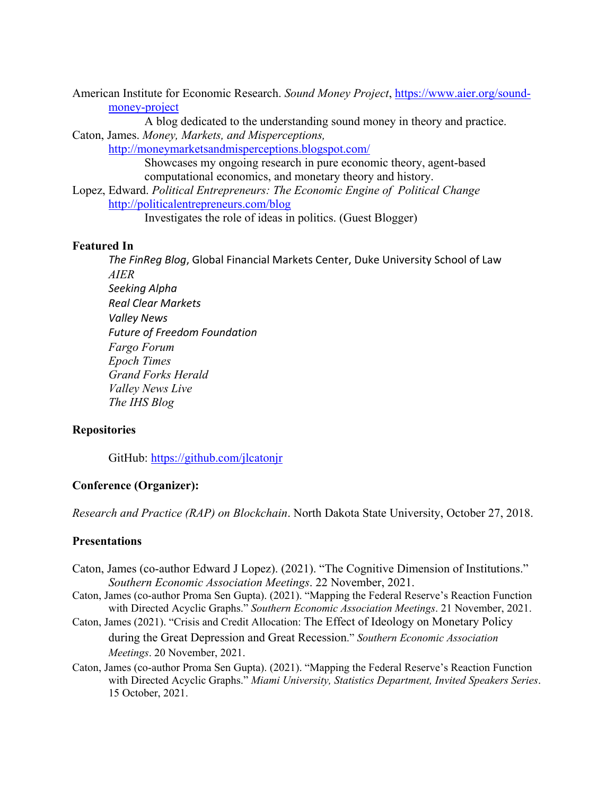American Institute for Economic Research. *Sound Money Project*, [https://www.aier.org/sound](https://www.aier.org/sound-money-project)[money-project](https://www.aier.org/sound-money-project)

A blog dedicated to the understanding sound money in theory and practice. Caton, James. *Money, Markets, and Misperceptions,* 

<http://moneymarketsandmisperceptions.blogspot.com/>

Showcases my ongoing research in pure economic theory, agent-based computational economics, and monetary theory and history.

Lopez, Edward. *Political Entrepreneurs: The Economic Engine of Political Change* <http://politicalentrepreneurs.com/blog>

Investigates the role of ideas in politics. (Guest Blogger)

## **Featured In**

*The FinReg Blog*, Global Financial Markets Center, Duke University School of Law *AIER Seeking Alpha Real Clear Markets Valley News Future of Freedom Foundation Fargo Forum Epoch Times Grand Forks Herald Valley News Live The IHS Blog*

## **Repositories**

GitHub:<https://github.com/jlcatonjr>

### **Conference (Organizer):**

*Research and Practice (RAP) on Blockchain*. North Dakota State University, October 27, 2018.

#### **Presentations**

- Caton, James (co-author Edward J Lopez). (2021). "The Cognitive Dimension of Institutions." *Southern Economic Association Meetings*. 22 November, 2021.
- Caton, James (co-author Proma Sen Gupta). (2021). "Mapping the Federal Reserve's Reaction Function with Directed Acyclic Graphs." *Southern Economic Association Meetings*. 21 November, 2021.
- Caton, James (2021). "Crisis and Credit Allocation: The Effect of Ideology on Monetary Policy during the Great Depression and Great Recession." *Southern Economic Association Meetings*. 20 November, 2021.
- Caton, James (co-author Proma Sen Gupta). (2021). "Mapping the Federal Reserve's Reaction Function with Directed Acyclic Graphs." *Miami University, Statistics Department, Invited Speakers Series*. 15 October, 2021.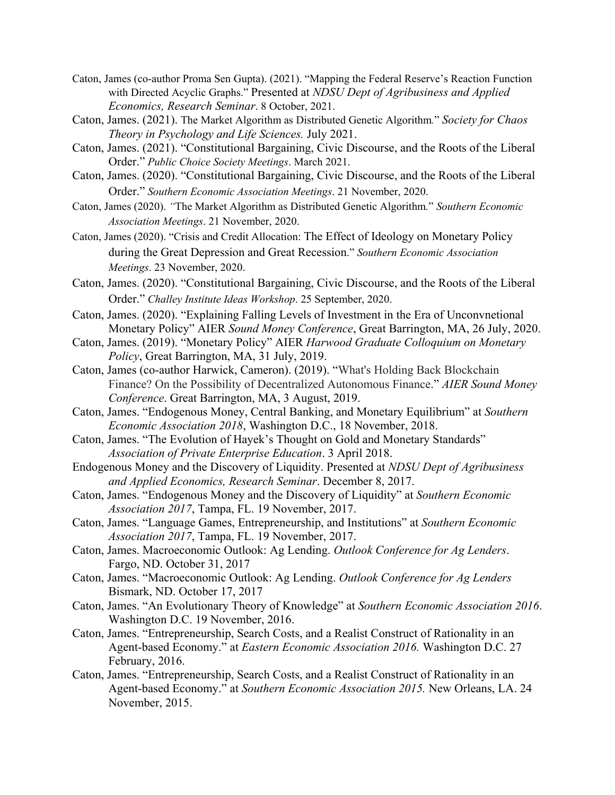- Caton, James (co-author Proma Sen Gupta). (2021). "Mapping the Federal Reserve's Reaction Function with Directed Acyclic Graphs." Presented at *NDSU Dept of Agribusiness and Applied Economics, Research Seminar*. 8 October, 2021.
- Caton, James. (2021). The Market Algorithm as Distributed Genetic Algorithm*.*" *Society for Chaos Theory in Psychology and Life Sciences.* July 2021.
- Caton, James. (2021). "Constitutional Bargaining, Civic Discourse, and the Roots of the Liberal Order." *Public Choice Society Meetings*. March 2021.
- Caton, James. (2020). "Constitutional Bargaining, Civic Discourse, and the Roots of the Liberal Order." *Southern Economic Association Meetings*. 21 November, 2020.
- Caton, James (2020). *"*The Market Algorithm as Distributed Genetic Algorithm*.*" *Southern Economic Association Meetings*. 21 November, 2020.
- Caton, James (2020). "Crisis and Credit Allocation: The Effect of Ideology on Monetary Policy during the Great Depression and Great Recession." *Southern Economic Association Meetings*. 23 November, 2020.
- Caton, James. (2020). "Constitutional Bargaining, Civic Discourse, and the Roots of the Liberal Order." *Challey Institute Ideas Workshop*. 25 September, 2020.
- Caton, James. (2020). "Explaining Falling Levels of Investment in the Era of Unconvnetional Monetary Policy" AIER *Sound Money Conference*, Great Barrington, MA, 26 July, 2020.
- Caton, James. (2019). "Monetary Policy" AIER *Harwood Graduate Colloquium on Monetary Policy*, Great Barrington, MA, 31 July, 2019.
- Caton, James (co-author Harwick, Cameron). (2019). "What's Holding Back Blockchain Finance? On the Possibility of Decentralized Autonomous Finance." *AIER Sound Money Conference*. Great Barrington, MA, 3 August, 2019.
- Caton, James. "Endogenous Money, Central Banking, and Monetary Equilibrium" at *Southern Economic Association 2018*, Washington D.C., 18 November, 2018.
- Caton, James. "The Evolution of Hayek's Thought on Gold and Monetary Standards" *Association of Private Enterprise Education*. 3 April 2018.
- Endogenous Money and the Discovery of Liquidity. Presented at *NDSU Dept of Agribusiness and Applied Economics, Research Seminar*. December 8, 2017.
- Caton, James. "Endogenous Money and the Discovery of Liquidity" at *Southern Economic Association 2017*, Tampa, FL. 19 November, 2017.
- Caton, James. "Language Games, Entrepreneurship, and Institutions" at *Southern Economic Association 2017*, Tampa, FL. 19 November, 2017.
- Caton, James. Macroeconomic Outlook: Ag Lending. *Outlook Conference for Ag Lenders*. Fargo, ND. October 31, 2017
- Caton, James. "Macroeconomic Outlook: Ag Lending. *Outlook Conference for Ag Lenders* Bismark, ND. October 17, 2017
- Caton, James. "An Evolutionary Theory of Knowledge" at *Southern Economic Association 2016*. Washington D.C. 19 November, 2016.
- Caton, James. "Entrepreneurship, Search Costs, and a Realist Construct of Rationality in an Agent-based Economy." at *Eastern Economic Association 2016.* Washington D.C. 27 February, 2016.
- Caton, James. "Entrepreneurship, Search Costs, and a Realist Construct of Rationality in an Agent-based Economy." at *Southern Economic Association 2015.* New Orleans, LA. 24 November, 2015.